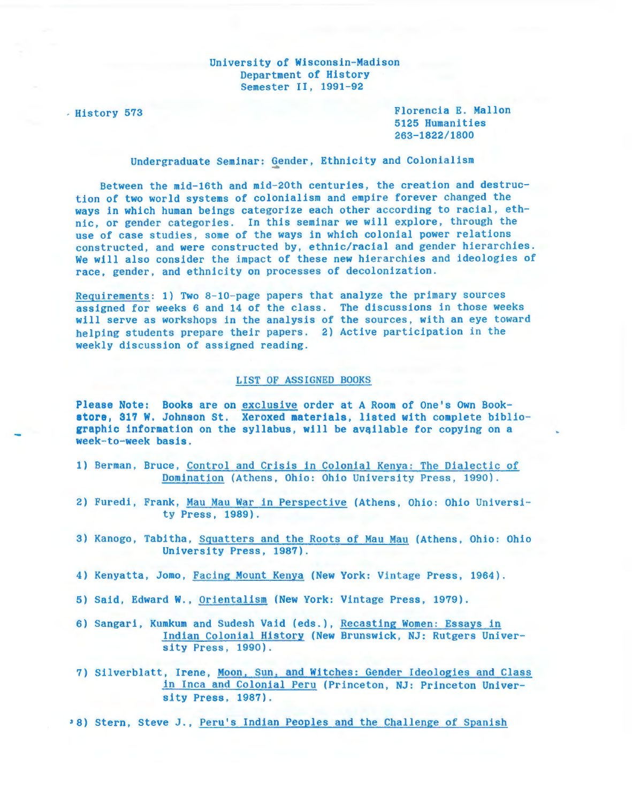## University of Wisconsin-Madison Department of History Semester II, 1991-92

. History 573 Florencia E. Mallon 5125 Humanities 263-1822/1800

Undergraduate Seminar: Gender, Ethnicity and Colonialism

Between the mid-16th and mid-20th centuries , the creation and destruction of two world systems of colonialism and empire forever changed the ways in which human beings categorize each other according to racial, ethnic, or gender categories. In this seminar we will explore, through the use of case studies, some of the ways in which colonial power relations constructed, and were constructed by, ethnic/racial and gender hierarchies. We will also consider the impact of these new hierarchies and ideologies of race, gender, and ethnicity on processes of decolonization.

Requirements: 1) Two 8-10-page papers that analyze the primary sources assigned for weeks 6 and 14 of the class. The discussions in those weeks will serve as workshops in the analysis of the sources, with an eye toward helping students prepare their papers. 2) Active participation in the weekly discussion of assigned reading.

## LIST OF ASSIGNED BOOKS

Please Note: Books are on exclusive order at A Room of One's Own Bookstore, 317 W. Johnson St. Xeroxed materials, listed with complete bibliographic information on the syllabus, will be available for copying on a week-to-week basis.

- 1) Berman, Bruce, Control and Crisis in Colonial Kenya: The Dialectic of Domination (Athens, Ohio: Ohio University Press, 1990).
- 2) Furedi, Frank, Mau Mau War in Perspective (Athens, Ohio: Ohio University Press, 1989).
- 3) Kanogo, Tabitha, Squatters and the Roots of Mau Mau (Athens, Ohio: Ohio University Press, 1987).
- 4) Kenyatta, Jomo, Facing Mount Kenya (New York: Vintage Press, 1964).
- 5) Said, Edward W., Orientalism (New York: Vintage Press, 1979).
- 6) Sangari, Kumkum and Sudesh Vaid (eds. ), Recasting Women: Essays in Indian Colonial History (New Brunswick, NJ: Rutgers University Press, 1990).
- 7) Silverblatt, Irene, Moon, Sun, and Witches: Gender Ideologies and Class in Inca and Colonial Peru (Princeton, NJ: Princeton University Press, 1987).
- '8) Stern, Steve J., Peru's Indian Peoples and the Challenge of Spanish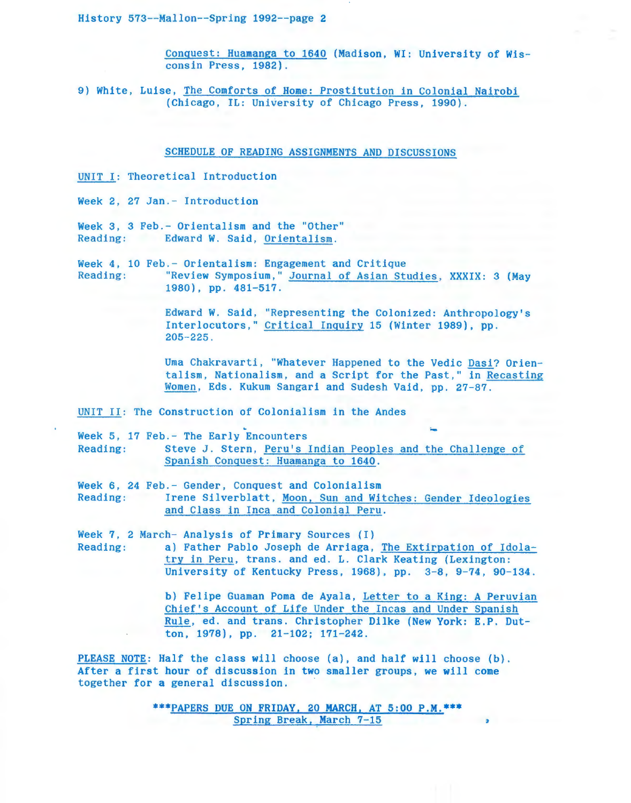History 573--Mallon--Spring 1992--page 2

Conquest: Huamanga to 1640 (Madison, WI: University of Wisconsin Press, 1982).

9) White, Luise, The Comforts of Home: Prostitution in Colonial Nairobi (Chicago, IL: University of Chicago Press, 1990).

SCHEDULE OF READING ASSIGNMENTS AND DISCUSSIONS

UNIT I: Theoretical Introduction

Week 2, 27 Jan. - Introduction

Week 3, 3 Feb.- Orientalism and the "Other" Reading: Edward *W.* Said, Orientalism.

Week 4, 10 Feb.- Orientalism: Engagement and Critique Reading: "Review Symposium," Journal of Asian Studies, XXXIX: 3 (May 1980), pp. 481-517.

> Edward *W.* Said, "Representing the Colonized: Anthropology's Interlocutors," Critical Inquiry 15 (Winter 1989), pp. 205-225.

Uma Chakravarti, "Whatever Happened to the Vedic Dasi? Orientalism, Nationalism, and a Script for the Past," in Recasting Women, Eds. Kukum Sangari and Sudesh Vaid, pp. 27-87.

UNIT II: The Construction of Colonialism in the Andes

~ ~ Week 5, 17 Feb. - The Early Encounters Reading: Steve J. Stern, Peru's Indian Peoples and the Challenge of Spanish Conquest: Huamanga to 1640.

Week 6, 24 Feb. - Gender, Conquest and Colonialism Reading: Irene Silverblatt, Moon, Sun and Witches: Gender Ideologies and Class in Inca and Colonial Peru.

Week 7, 2 March- Analysis of Primary Sources (I)

Reading: a) Father Pablo Joseph de Arriaga, The Extirpation of Idolatry in Peru, trans. and ed. L. Clark Keating (Lexington: University of Kentucky Press, 1968), pp. 3-8, 9-74, 90-134.

> b) Felipe Guaman Poma de Ayala, Letter to a King: A Peruvian Chief's Account of Life Under the Incas and Under Spanish Rule, ed. and trans. Christopher Dilke (New York: E.P. Dutton, 1978), pp. 21-102; 171-242.

PLEASE NOTE: Half the class will choose (a), and half will choose (b). After a first hour of discussion in two smaller groups, we will come together for a general discussion.

> \*\*\*PAPERS DUE ON FRIDAY, 20 MARCH, AT 5:00 P.M.\*\*\* Spring Break, March 7-15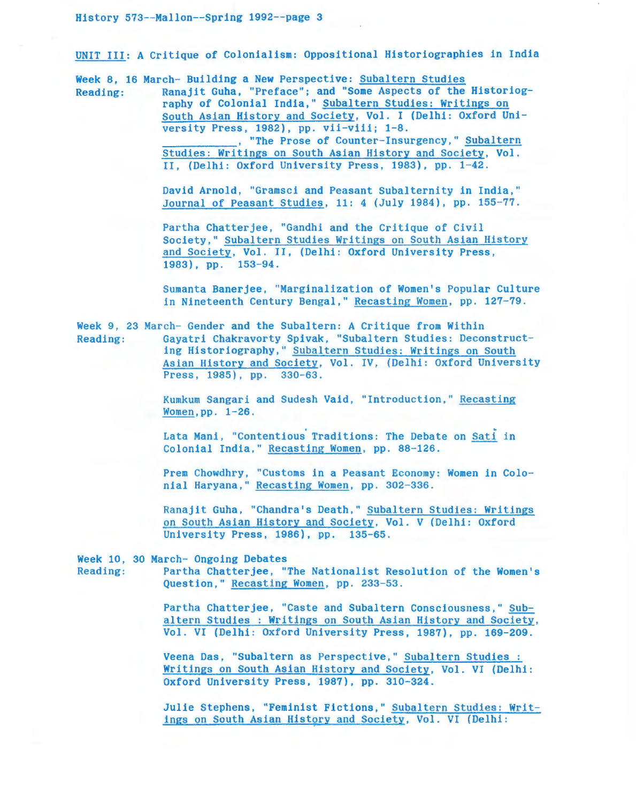UNIT III: A Critique of Colonialism: Oppositional Historiographies in India

Week 8, 16 March- Building a New Perspective: Subaltern Studies Reading: Ranajit Guha, "Preface"; and "Some Aspects of the Historiography of Colonial India," Subaltern Studies: Writings on South Asian History and Society, Vol. I (Delhi: Oxford University Press, 1982), pp. vii-viii; 1-8.<br>The Prose of Counter-Insurgency," Subaltern. Studies: Writings on South Asian History and Society, Vol. II. (Delhi: Oxford University Press, 1983), pp. 1-42.

> David Arnold, "Gramsci and Peasant Subalternity in India," Journal of Peasant Studies, 11: 4 (July 1984), pp. 155-77.

Partha Chatterjee, "Gandhi and the Critique of Civil Society," Subaltern Studies Writings on South Asian History and Society, Vol. II, (Delhi: Oxford University Press, 1983), pp. 153-94.

Sumanta Banerjee , "Marginalization of Women's Popular Culture in Nineteenth Century Bengal," Recasting Women, pp. 127-79.

Week 9, 23 March- Gender and the Subaltern: A Critique from Within Reading: Gayatri Chakravorty Spivak, "Subaltern Studies: Deconstructing Historiography," Subaltern Studies: Writings on South Asian History and Society, Vol. IV, (Delhi: Oxford University Press, 1985), pp. 330-63.

> Kumkum Sangari and Sudesh Vaid, "Introduction," Recasting Women,pp. 1-26.

> Lata Mani, "Contentious Traditions: The Debate on Sati in Colonial India," Recasting Women, pp. 88-126 .

Prem Chowdhry, "Customs in a Peasant Economy: Women in Colonial Haryana," Recasting Women, pp. 302-336.

Ranajit Guha, "Chandra's Death," Subaltern Studies: Writings on South Asian History and Society, Vol. V (Delhi: Oxford University Press, 1986), pp. 135-65.

Week 10, 30 March- Ongoing Debates

Reading: Partha Chatterjee, "The Nationalist Resolution of the Women's Question," Recasting Women, pp. 233-53.

> Partha Chatterjee, "Caste and Subaltern Consciousness," Subaltern Studies : Writings on South Asian History and Society, Vol. VI (Delhi: Oxford University Press, 1987), pp. 169-209.

Veena Das, "Subaltern as Perspective," Subaltern Studies : Writings on South Asian History and Society, Vol. VI (Delhi: Oxford University Press, 1987), pp. 310-324.

Julie Stephens, "Feminist Fictions," Subaltern Studies: Writings on South Asian History and Society, Vol. VI (Delhi: